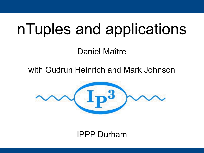# nTuples and applications

Daniel Maître

with Gudrun Heinrich and Mark Johnson



#### IPPP Durham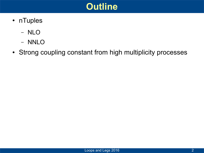

- nTuples
	- NLO
	- NNLO
- Strong coupling constant from high multiplicity processes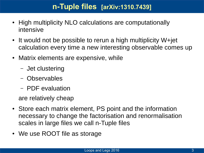#### **n-Tuple files [arXiv:1310.7439]**

- High multiplicity NLO calculations are computationally intensive
- $\bullet$  It would not be possible to rerun a high multiplicity W+jet calculation every time a new interesting observable comes up
- Matrix elements are expensive, while
	- Jet clustering
	- Observables
	- PDF evaluation

are relatively cheap

- Store each matrix element, PS point and the information necessary to change the factorisation and renormalisation scales in large files we call n-Tuple files
- We use ROOT file as storage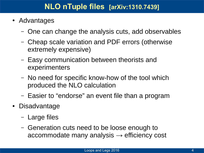- Advantages
	- One can change the analysis cuts, add observables
	- Cheap scale variation and PDF errors (otherwise extremely expensive)
	- Easy communication between theorists and experimenters
	- No need for specific know-how of the tool which produced the NLO calculation
	- Easier to "endorse" an event file than a program
- Disadvantage
	- Large files
	- Generation cuts need to be loose enough to accommodate many analysis  $\rightarrow$  efficiency cost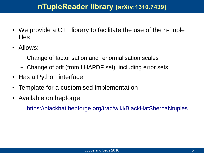#### **nTupleReader library [arXiv:1310.7439]**

- We provide a  $C++$  library to facilitate the use of the n-Tuple files
- Allows:
	- Change of factorisation and renormalisation scales
	- Change of pdf (from LHAPDF set), including error sets
- Has a Python interface
- Template for a customised implementation
- Available on hepforge

<https://blackhat.hepforge.org/trac/wiki/BlackHatSherpaNtuples>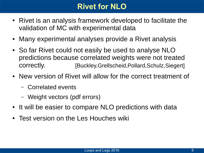#### **Rivet for NLO**

- Rivet is an analysis framework developed to facilitate the validation of MC with experimental data
- Many experimental analyses provide a Rivet analysis
- So far Rivet could not easily be used to analyse NLO predictions because correlated weights were not treated correctly. [Buckley,Grellscheid,Pollard,Schulz,Siegert]
- New version of Rivet will allow for the correct treatment of
	- Correlated events
	- Weight vectors (pdf errors)
- It will be easier to compare NLO predictions with data
- Test version on the Les Houches wiki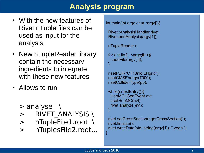#### **Analysis program**

- With the new features of Rivet nTuple files can be used as input for the analysis
- New nTupleReader library contain the necessary ingredients to integrate with these new features
- Allows to run
	- > analyse \
	- > RIVET ANALYSIS \
	- > nTupleFile1.root \
	- > nTuplesFile2.root...

int main(int argc,char \*argv[]){

 Rivet::AnalysisHandler rivet; Rivet.addAnalysis(argv[1]);

nTupleReader r;

```
for (int ii=2;ii<argc;ii++){
  r.addFile(argv[ii]);
}
```

```
 r.setPDF("CT10nlo.LHgrid");
r.setCMSEnergy(7000);
r.setColliderType(pp);
```

```
 while(r.nextEntry()){
 HepMC::GenEvent evt;
 r.setHepMC(evt);
 rivet.analyze(evt);
```

```
 rivet.setCrossSection(r.getCrossSection());
rivet.finalize();
rivet.writeData(std::string(argv[1])+".yoda");
```
}

}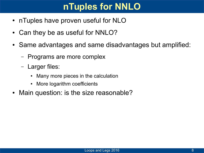# **nTuples for NNLO**

- nTuples have proven useful for NLO
- Can they be as useful for NNLO?
- Same advantages and same disadvantages but amplified:
	- Programs are more complex
	- Larger files:
		- Many more pieces in the calculation
		- More logarithm coefficients
- Main question: is the size reasonable?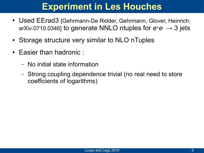## **Experiment in Les Houches**

- Used EErad3 [Gehrmann-De Ridder, Gehrmann, Glover, Heinrich; arXiv:0710.0346] to generate NNLO ntuples for *e+e-* → 3 jets
- Storage structure very similar to NLO nTuples
- Easier than hadronic :
	- No initial state information
	- Strong coupling dependence trivial (no real need to store coefficients of logarithms)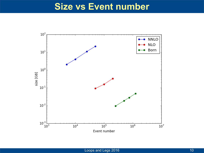#### **Size vs Event number**

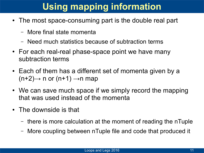# **Using mapping information**

- The most space-consuming part is the double real part
	- More final state momenta
	- Need much statistics because of subtraction terms
- For each real-real phase-space point we have many subtraction terms
- Each of them has a different set of momenta given by a  $(n+2) \rightarrow n$  or  $(n+1) \rightarrow n$  map
- We can save much space if we simply record the mapping that was used instead of the momenta
- The downside is that
	- there is more calculation at the moment of reading the nTuple
	- More coupling between nTuple file and code that produced it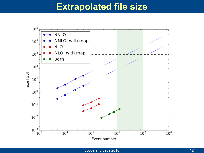#### **Extrapolated file size**

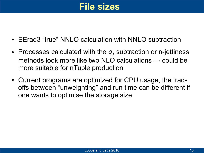## **File sizes**

- EErad3 "true" NNLO calculation with NNLO subtraction
- Processes calculated with the  $q_7$  subtraction or n-jettiness methods look more like two NLO calculations  $\rightarrow$  could be more suitable for nTuple production
- Current programs are optimized for CPU usage, the tradoffs between "unweighting" and run time can be different if one wants to optimise the storage size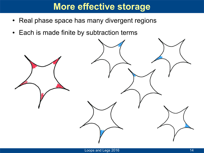## **More effective storage**

- Real phase space has many divergent regions
- Each is made finite by subtraction terms

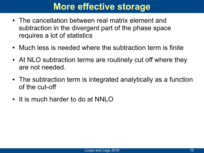## **More effective storage**

- The cancellation between real matrix element and subtraction in the divergent part of the phase space requires a lot of statistics
- Much less is needed where the subtraction term is finite
- At NLO subtraction terms are routinely cut off where they are not needed.
- The subtraction term is integrated analytically as a function of the cut-off
- It is much harder to do at NNLO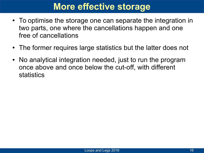## **More effective storage**

- To optimise the storage one can separate the integration in two parts, one where the cancellations happen and one free of cancellations
- The former requires large statistics but the latter does not
- No analytical integration needed, just to run the program once above and once below the cut-off, with different statistics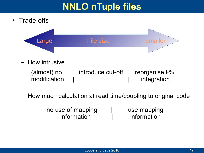# **NNLO nTuple files**

• Trade offs



– How intrusive

 (almost) no | introduce cut-off | reorganise PS modification | integration

– How much calculation at read time/coupling to original code

no use of mapping and use mapping information | information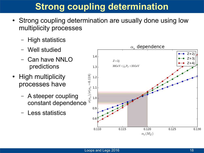- Strong coupling determination are usually done using low multiplicity processes
	- High statistics
	- Well studied
	- Can have NNLO predictions
- High multiplicity processes have
	- A steeper coupling constant dependence
	- Less statistics

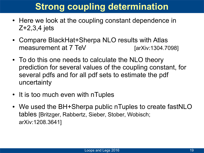- Here we look at the coupling constant dependence in Z+2,3,4 jets
- Compare BlackHat+Sherpa NLO results with Atlas measurement at 7 TeV [arXiv:1304.7098]
- To do this one needs to calculate the NLO theory prediction for several values of the coupling constant, for several pdfs and for all pdf sets to estimate the pdf uncertainty
- It is too much even with nTuples
- We used the BH+Sherpa public nTuples to create fastNLO tables [Britzger, Rabbertz, Sieber, Stober, Wobisch; arXiv:1208.3641]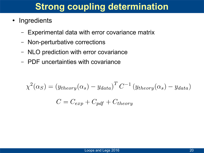- Ingredients
	- Experimental data with error covariance matrix
	- Non-perturbative corrections
	- NLO prediction with error covariance
	- PDF uncertainties with covariance

$$
\chi^2(\alpha_S) = (y_{theory}(\alpha_S) - y_{data})^T C^{-1} (y_{theory}(\alpha_S) - y_{data})
$$

$$
C = C_{exp} + C_{pdf} + C_{theory}
$$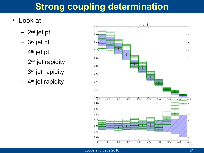- Look at
	- 2nd jet pt
	- 3rd jet pt
	- $-4$ <sup>th</sup> jet pt
	- $-$  2<sup>nd</sup> jet rapidity
	- 3rd jet rapidity
	- $-4$ <sup>th</sup> jet rapidity

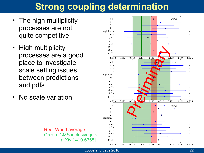- The high multiplicity processes are not quite competitive
- High multiplicity processes are a good place to investigate scale setting issues between predictions and pdfs
- No scale variation

Red: World average

[arXiv:1410.6765]